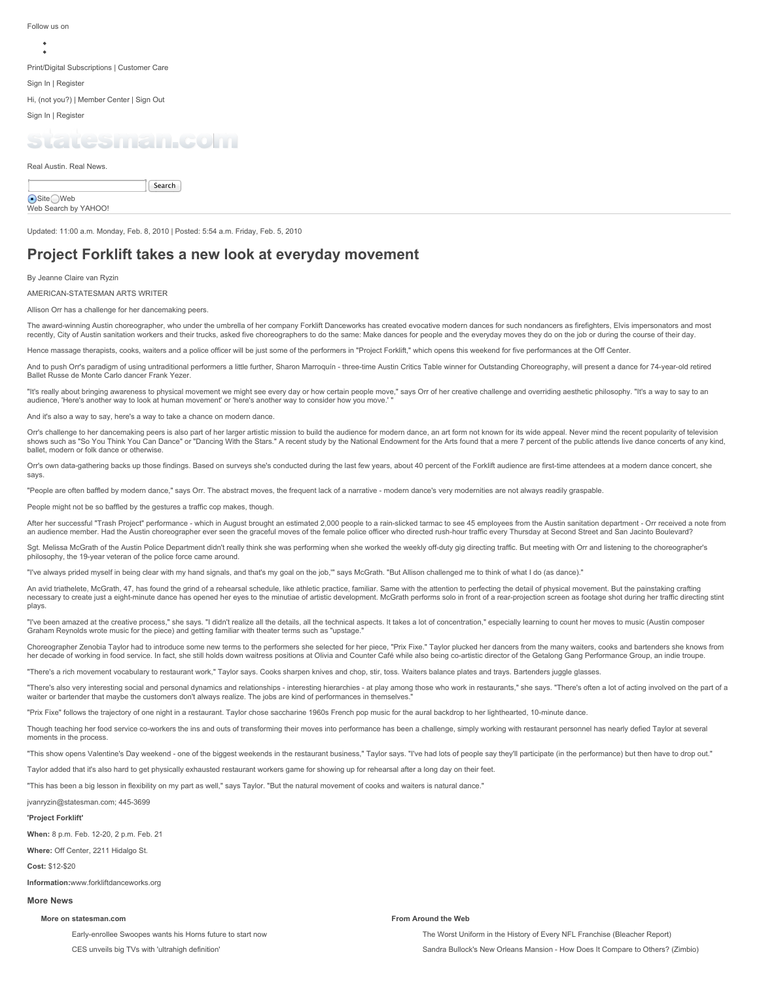Follow us on

[Print/Digital Subscriptions](http://www.statesman.com/services/account-management/) | [Customer Care](https://myaccount.statesman.com/)

[Sign In | Register](http://www.statesman.com/news/entertainment/arts-theater/project-forklift-takes-a-new-look-at-everyday-mo-2/nRkGr/#)

Hi, [\(not you?](http://www.statesman.com/ur/api/redirect/?logout=True)) | [Member Center](http://www.statesman.com/profile/edit/private/) | [Sign Out](http://www.statesman.com/ur/api/logout_redirect/)

[Sign In | Register](http://www.statesman.com/ur/api/redirect/)

# atesman com

Real Austin. Real News.

Search

●Site OWeb Web Search by YAHOO!

Updated: 11:00 a.m. Monday, Feb. 8, 2010 | Posted: 5:54 a.m. Friday, Feb. 5, 2010

# **Project Forklift takes a new look at everyday movement**

By [Jeanne Claire van Ryzin](http://www.statesman.com/staff/jeanne-claire-van-ryzin/)

AMERICAN-STATESMAN ARTS WRITER

#### Allison Orr has a challenge for her dancemaking peers.

The award-winning Austin choreographer, who under the umbrella of her company Forklift Danceworks has created evocative modern dances for such nondancers as firefighters. Elvis impersonators and most recently, City of Austin sanitation workers and their trucks, asked five choreographers to do the same: Make dances for people and the everyday moves they do on the job or during the course of their day.

Hence massage therapists, cooks, waiters and a police officer will be just some of the performers in "Project Forklift," which opens this weekend for five performances at the Off Center

And to push Orr's paradigm of using untraditional performers a little further, Sharon Marroquín - three-time Austin Critics Table winner for Outstanding Choreography, will present a dance for 74-year-old retired Ballet Russe de Monte Carlo dancer Frank Yezer.

"It's really about bringing awareness to physical movement we might see every day or how certain people move," says Orr of her creative challenge and overriding aesthetic philosophy. "It's a way to say to an audience, 'Here's another way to look at human movement' or 'here's another way to consider how you move.' "

And it's also a way to say, here's a way to take a chance on modern dance.

Orr's challenge to her dancemaking peers is also part of her larger artistic mission to build the audience for modern dance, an art form not known for its wide appeal. Never mind the recent popularity of television shows such as "So You Think You Can Dance" or "Dancing With the Stars." A recent study by the National Endowment for the Arts found that a mere 7 percent of the public attends live dance concerts of any kind, ballet, modern or folk dance or otherwise.

Orr's own data-gathering backs up those findings. Based on surveys she's conducted during the last few years, about 40 percent of the Forklift audience are first-time attendees at a modern dance concert, she says.

"People are often baffled by modern dance," says Orr. The abstract moves, the frequent lack of a narrative - modern dance's very modernities are not always readily graspable.

People might not be so baffled by the gestures a traffic cop makes, though.

After her successful "Trash Project" performance - which in August brought an estimated 2,000 people to a rain-slicked tarmac to see 45 employees from the Austin sanitation department - Orr received a note from an audience member. Had the Austin choreographer ever seen the graceful moves of the female police officer who directed rush-hour traffic every Thursday at Second Street and San Jacinto Boulevard?

Sgt. Melissa McGrath of the Austin Police Department didn't really think she was performing when she worked the weekly off-duty gig directing traffic. But meeting with Orr and listening to the choreographer's philosophy, the 19-year veteran of the police force came around.

"I've always prided myself in being clear with my hand signals, and that's my goal on the job,'" says McGrath. "But Allison challenged me to think of what I do (as dance)."

An avid triathelete, McGrath, 47, has found the grind of a rehearsal schedule, like athletic practice, familiar. Same with the attention to perfecting the detail of physical movement. But the painstaking crafting necessary to create just a eight-minute dance has opened her eyes to the minutiae of artistic development. McGrath performs solo in front of a rear-projection screen as footage shot during her traffic directing stint plays.

"I've been amazed at the creative process," she says. "I didn't realize all the details, all the technical aspects. It takes a lot of concentration," especially learning to count her moves to music (Austin composer Graham Reynolds wrote music for the piece) and getting familiar with theater terms such as "upstage."

Choreographer Zenobia Taylor had to introduce some new terms to the performers she selected for her piece, "Prix Fixe." Taylor plucked her dancers from the many waiters, cooks and bartenders she knows from<br>her decade of wo

"There's a rich movement vocabulary to restaurant work," Taylor says. Cooks sharpen knives and chop, stir, toss. Waiters balance plates and trays. Bartenders juggle glasses.

"There's also very interesting social and personal dynamics and relationships - interesting hierarchies - at play among those who work in restaurants," she says. "There's often a lot of acting involved on the part of a waiter or bartender that maybe the customers don't always realize. The jobs are kind of performances in themselves

"Prix Fixe" follows the trajectory of one night in a restaurant. Taylor chose saccharine 1960s French pop music for the aural backdrop to her lighthearted, 10-minute dance.

Though teaching her food service co-workers the ins and outs of transforming their moves into performance has been a challenge, simply working with restaurant personnel has nearly defied Taylor at several moments in the process.

"This show opens Valentine's Day weekend - one of the biggest weekends in the restaurant business," Taylor says. "I've had lots of people say they'll participate (in the performance) but then have to drop out."

Taylor added that it's also hard to get physically exhausted restaurant workers game for showing up for rehearsal after a long day on their feet.

"This has been a big lesson in flexibility on my part as well," says Taylor. "But the natural movement of cooks and waiters is natural dance.

#### jvanryzin@statesman.com; 445-3699

#### **'Project Forklift'**

**When:** 8 p.m. Feb. 12-20, 2 p.m. Feb. 21

**Where:** Off Center, 2211 Hidalgo St.

**Cost:** \$12-\$20

**Information:**[www.forkliftdanceworks.org](http://www.forkliftdanceworks.org/)

## **More News**

#### **More on statesman.com**

[Early-enrollee Swoopes wants his Horns future to start now](http://www.statesman.com/news/sports/college-football/early-enrollee-swoopes-wants-his-horns-future-to-s/nTfMQ/) [CES unveils big TVs with 'ultrahigh definition'](http://www.statesman.com/news/ap/entertainment/ces-unveils-big-tvs-with-ultrahigh-definition/nTphD/)

### **From Around the Web**

[The Worst Uniform in the History of Every NFL Franchise](http://bleacherreport.com/articles/1137553-the-worst-uniform-in-the-history-of-every-nfl-franchise) (Bleacher Report) [Sandra Bullock's New Orleans Mansion - How Does It Compare to Others?](http://www.zimbio.com/Celebrity+Homes/articles/uuPg1ElvDzy/Sandra+Bullock+New+Orleans) (Zimbio)